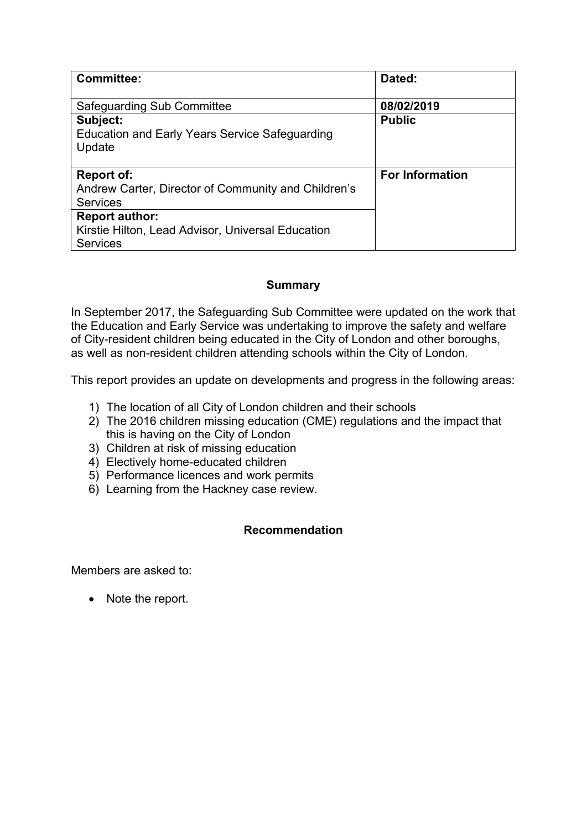| <b>Committee:</b>                                                                             | Dated:                 |
|-----------------------------------------------------------------------------------------------|------------------------|
| Safeguarding Sub Committee                                                                    | 08/02/2019             |
| Subject:<br><b>Education and Early Years Service Safeguarding</b><br>Update                   | <b>Public</b>          |
| <b>Report of:</b><br>Andrew Carter, Director of Community and Children's<br><b>Services</b>   | <b>For Information</b> |
| <b>Report author:</b><br>Kirstie Hilton, Lead Advisor, Universal Education<br><b>Services</b> |                        |

### **Summary**

In September 2017, the Safeguarding Sub Committee were updated on the work that the Education and Early Service was undertaking to improve the safety and welfare of City-resident children being educated in the City of London and other boroughs, as well as non-resident children attending schools within the City of London.

This report provides an update on developments and progress in the following areas:

- 1) The location of all City of London children and their schools
- 2) The 2016 children missing education (CME) regulations and the impact that this is having on the City of London
- 3) Children at risk of missing education
- 4) Electively home-educated children
- 5) Performance licences and work permits
- 6) Learning from the Hackney case review.

### **Recommendation**

Members are asked to:

• Note the report.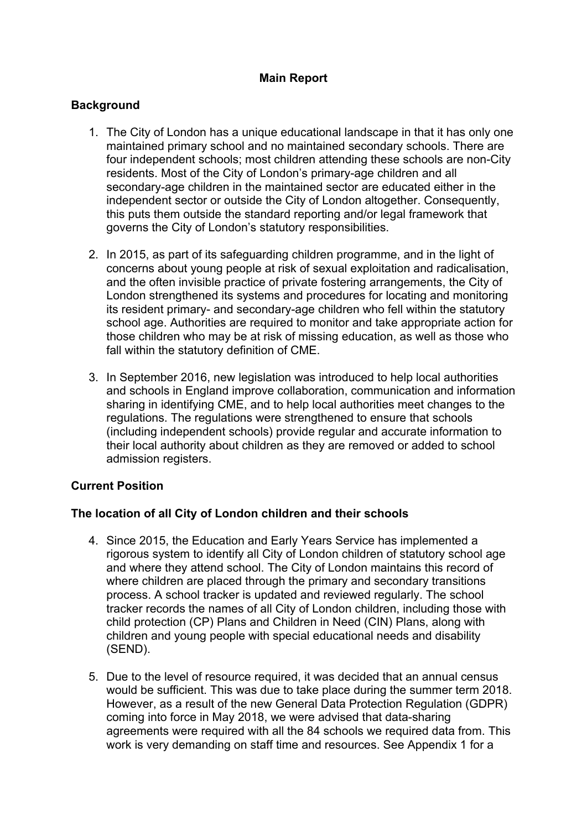# **Main Report**

### **Background**

- 1. The City of London has a unique educational landscape in that it has only one maintained primary school and no maintained secondary schools. There are four independent schools; most children attending these schools are non-City residents. Most of the City of London's primary-age children and all secondary-age children in the maintained sector are educated either in the independent sector or outside the City of London altogether. Consequently, this puts them outside the standard reporting and/or legal framework that governs the City of London's statutory responsibilities.
- 2. In 2015, as part of its safeguarding children programme, and in the light of concerns about young people at risk of sexual exploitation and radicalisation, and the often invisible practice of private fostering arrangements, the City of London strengthened its systems and procedures for locating and monitoring its resident primary- and secondary-age children who fell within the statutory school age. Authorities are required to monitor and take appropriate action for those children who may be at risk of missing education, as well as those who fall within the statutory definition of CME.
- 3. In September 2016, new legislation was introduced to help local authorities and schools in England improve collaboration, communication and information sharing in identifying CME, and to help local authorities meet changes to the regulations. The regulations were strengthened to ensure that schools (including independent schools) provide regular and accurate information to their local authority about children as they are removed or added to school admission registers.

# **Current Position**

# **The location of all City of London children and their schools**

- 4. Since 2015, the Education and Early Years Service has implemented a rigorous system to identify all City of London children of statutory school age and where they attend school. The City of London maintains this record of where children are placed through the primary and secondary transitions process. A school tracker is updated and reviewed regularly. The school tracker records the names of all City of London children, including those with child protection (CP) Plans and Children in Need (CIN) Plans, along with children and young people with special educational needs and disability (SEND).
- 5. Due to the level of resource required, it was decided that an annual census would be sufficient. This was due to take place during the summer term 2018. However, as a result of the new General Data Protection Regulation (GDPR) coming into force in May 2018, we were advised that data-sharing agreements were required with all the 84 schools we required data from. This work is very demanding on staff time and resources. See Appendix 1 for a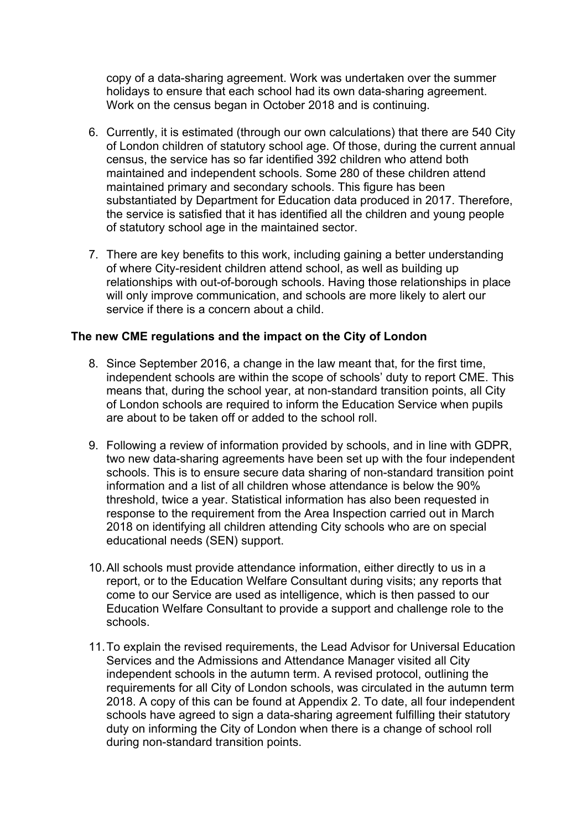copy of a data-sharing agreement. Work was undertaken over the summer holidays to ensure that each school had its own data-sharing agreement. Work on the census began in October 2018 and is continuing.

- 6. Currently, it is estimated (through our own calculations) that there are 540 City of London children of statutory school age. Of those, during the current annual census, the service has so far identified 392 children who attend both maintained and independent schools. Some 280 of these children attend maintained primary and secondary schools. This figure has been substantiated by Department for Education data produced in 2017. Therefore, the service is satisfied that it has identified all the children and young people of statutory school age in the maintained sector.
- 7. There are key benefits to this work, including gaining a better understanding of where City-resident children attend school, as well as building up relationships with out-of-borough schools. Having those relationships in place will only improve communication, and schools are more likely to alert our service if there is a concern about a child.

### **The new CME regulations and the impact on the City of London**

- 8. Since September 2016, a change in the law meant that, for the first time, independent schools are within the scope of schools' duty to report CME. This means that, during the school year, at non-standard transition points, all City of London schools are required to inform the Education Service when pupils are about to be taken off or added to the school roll.
- 9. Following a review of information provided by schools, and in line with GDPR, two new data-sharing agreements have been set up with the four independent schools. This is to ensure secure data sharing of non-standard transition point information and a list of all children whose attendance is below the 90% threshold, twice a year. Statistical information has also been requested in response to the requirement from the Area Inspection carried out in March 2018 on identifying all children attending City schools who are on special educational needs (SEN) support.
- 10.All schools must provide attendance information, either directly to us in a report, or to the Education Welfare Consultant during visits; any reports that come to our Service are used as intelligence, which is then passed to our Education Welfare Consultant to provide a support and challenge role to the schools.
- 11.To explain the revised requirements, the Lead Advisor for Universal Education Services and the Admissions and Attendance Manager visited all City independent schools in the autumn term. A revised protocol, outlining the requirements for all City of London schools, was circulated in the autumn term 2018. A copy of this can be found at Appendix 2. To date, all four independent schools have agreed to sign a data-sharing agreement fulfilling their statutory duty on informing the City of London when there is a change of school roll during non-standard transition points.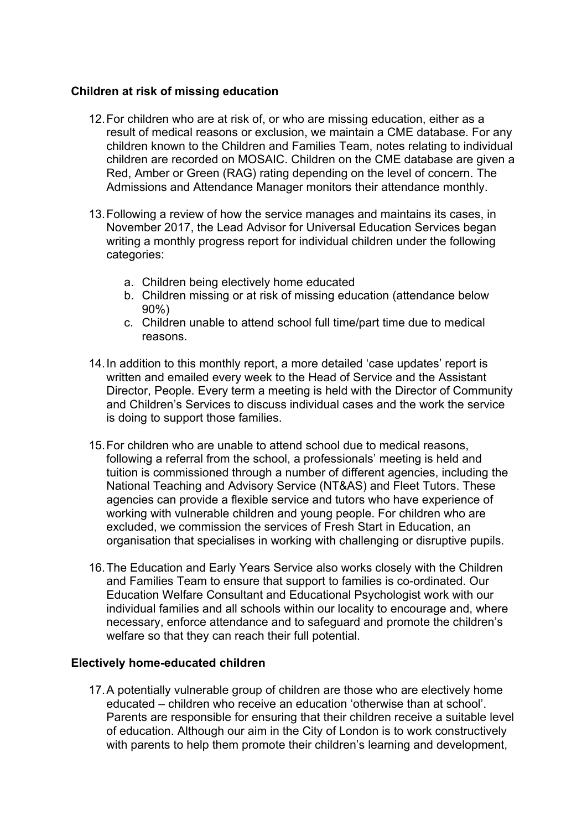### **Children at risk of missing education**

- 12.For children who are at risk of, or who are missing education, either as a result of medical reasons or exclusion, we maintain a CME database. For any children known to the Children and Families Team, notes relating to individual children are recorded on MOSAIC. Children on the CME database are given a Red, Amber or Green (RAG) rating depending on the level of concern. The Admissions and Attendance Manager monitors their attendance monthly.
- 13.Following a review of how the service manages and maintains its cases, in November 2017, the Lead Advisor for Universal Education Services began writing a monthly progress report for individual children under the following categories:
	- a. Children being electively home educated
	- b. Children missing or at risk of missing education (attendance below 90%)
	- c. Children unable to attend school full time/part time due to medical reasons.
- 14.In addition to this monthly report, a more detailed 'case updates' report is written and emailed every week to the Head of Service and the Assistant Director, People. Every term a meeting is held with the Director of Community and Children's Services to discuss individual cases and the work the service is doing to support those families.
- 15.For children who are unable to attend school due to medical reasons, following a referral from the school, a professionals' meeting is held and tuition is commissioned through a number of different agencies, including the National Teaching and Advisory Service (NT&AS) and Fleet Tutors. These agencies can provide a flexible service and tutors who have experience of working with vulnerable children and young people. For children who are excluded, we commission the services of Fresh Start in Education, an organisation that specialises in working with challenging or disruptive pupils.
- 16.The Education and Early Years Service also works closely with the Children and Families Team to ensure that support to families is co-ordinated. Our Education Welfare Consultant and Educational Psychologist work with our individual families and all schools within our locality to encourage and, where necessary, enforce attendance and to safeguard and promote the children's welfare so that they can reach their full potential.

#### **Electively home-educated children**

17.A potentially vulnerable group of children are those who are electively home educated – children who receive an education 'otherwise than at school'. Parents are responsible for ensuring that their children receive a suitable level of education. Although our aim in the City of London is to work constructively with parents to help them promote their children's learning and development,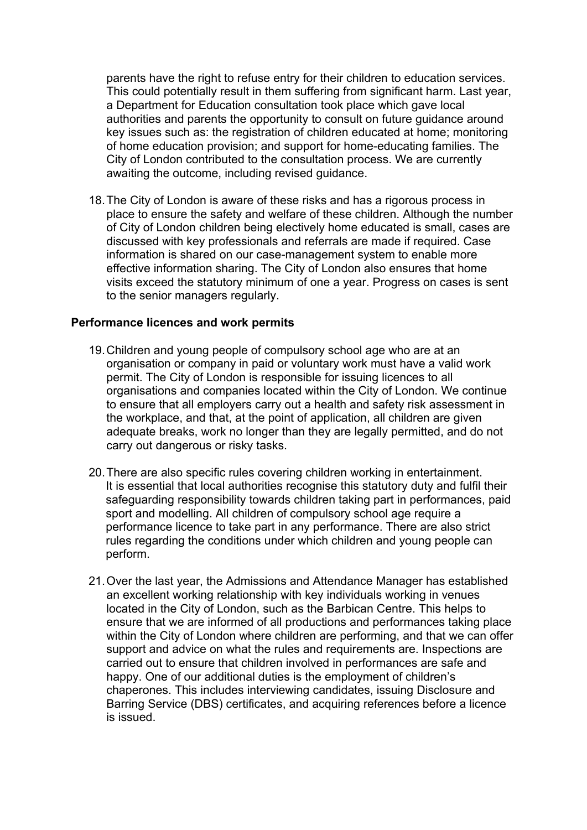parents have the right to refuse entry for their children to education services. This could potentially result in them suffering from significant harm. Last year, a Department for Education consultation took place which gave local authorities and parents the opportunity to consult on future guidance around key issues such as: the registration of children educated at home; monitoring of home education provision; and support for home-educating families. The City of London contributed to the consultation process. We are currently awaiting the outcome, including revised guidance.

18.The City of London is aware of these risks and has a rigorous process in place to ensure the safety and welfare of these children. Although the number of City of London children being electively home educated is small, cases are discussed with key professionals and referrals are made if required. Case information is shared on our case-management system to enable more effective information sharing. The City of London also ensures that home visits exceed the statutory minimum of one a year. Progress on cases is sent to the senior managers regularly.

### **Performance licences and work permits**

- 19.Children and young people of compulsory school age who are at an organisation or company in paid or voluntary work must have a valid work permit. The City of London is responsible for issuing licences to all organisations and companies located within the City of London. We continue to ensure that all employers carry out a health and safety risk assessment in the workplace, and that, at the point of application, all children are given adequate breaks, work no longer than they are legally permitted, and do not carry out dangerous or risky tasks.
- 20.There are also specific rules covering children working in entertainment. It is essential that local authorities recognise this statutory duty and fulfil their safeguarding responsibility towards children taking part in performances, paid sport and modelling. All children of compulsory school age require a performance licence to take part in any performance. There are also strict rules regarding the conditions under which children and young people can perform.
- 21.Over the last year, the Admissions and Attendance Manager has established an excellent working relationship with key individuals working in venues located in the City of London, such as the Barbican Centre. This helps to ensure that we are informed of all productions and performances taking place within the City of London where children are performing, and that we can offer support and advice on what the rules and requirements are. Inspections are carried out to ensure that children involved in performances are safe and happy. One of our additional duties is the employment of children's chaperones. This includes interviewing candidates, issuing Disclosure and Barring Service (DBS) certificates, and acquiring references before a licence is issued.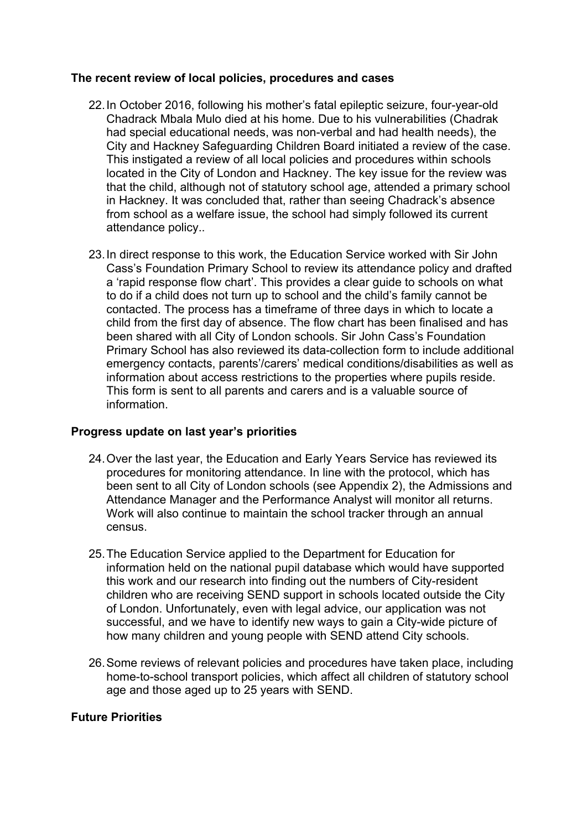### **The recent review of local policies, procedures and cases**

- 22.In October 2016, following his mother's fatal epileptic seizure, four-year-old Chadrack Mbala Mulo died at his home. Due to his vulnerabilities (Chadrak had special educational needs, was non-verbal and had health needs), the City and Hackney Safeguarding Children Board initiated a review of the case. This instigated a review of all local policies and procedures within schools located in the City of London and Hackney. The key issue for the review was that the child, although not of statutory school age, attended a primary school in Hackney. It was concluded that, rather than seeing Chadrack's absence from school as a welfare issue, the school had simply followed its current attendance policy..
- 23.In direct response to this work, the Education Service worked with Sir John Cass's Foundation Primary School to review its attendance policy and drafted a 'rapid response flow chart'. This provides a clear guide to schools on what to do if a child does not turn up to school and the child's family cannot be contacted. The process has a timeframe of three days in which to locate a child from the first day of absence. The flow chart has been finalised and has been shared with all City of London schools. Sir John Cass's Foundation Primary School has also reviewed its data-collection form to include additional emergency contacts, parents'/carers' medical conditions/disabilities as well as information about access restrictions to the properties where pupils reside. This form is sent to all parents and carers and is a valuable source of information.

### **Progress update on last year's priorities**

- 24.Over the last year, the Education and Early Years Service has reviewed its procedures for monitoring attendance. In line with the protocol, which has been sent to all City of London schools (see Appendix 2), the Admissions and Attendance Manager and the Performance Analyst will monitor all returns. Work will also continue to maintain the school tracker through an annual census.
- 25.The Education Service applied to the Department for Education for information held on the national pupil database which would have supported this work and our research into finding out the numbers of City-resident children who are receiving SEND support in schools located outside the City of London. Unfortunately, even with legal advice, our application was not successful, and we have to identify new ways to gain a City-wide picture of how many children and young people with SEND attend City schools.
- 26.Some reviews of relevant policies and procedures have taken place, including home-to-school transport policies, which affect all children of statutory school age and those aged up to 25 years with SEND.

# **Future Priorities**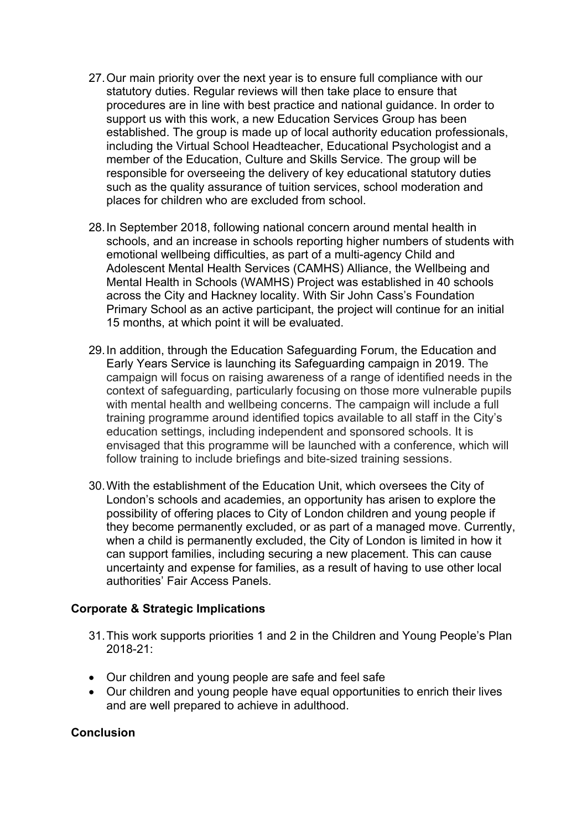- 27.Our main priority over the next year is to ensure full compliance with our statutory duties. Regular reviews will then take place to ensure that procedures are in line with best practice and national guidance. In order to support us with this work, a new Education Services Group has been established. The group is made up of local authority education professionals, including the Virtual School Headteacher, Educational Psychologist and a member of the Education, Culture and Skills Service. The group will be responsible for overseeing the delivery of key educational statutory duties such as the quality assurance of tuition services, school moderation and places for children who are excluded from school.
- 28.In September 2018, following national concern around mental health in schools, and an increase in schools reporting higher numbers of students with emotional wellbeing difficulties, as part of a multi-agency Child and Adolescent Mental Health Services (CAMHS) Alliance, the Wellbeing and Mental Health in Schools (WAMHS) Project was established in 40 schools across the City and Hackney locality. With Sir John Cass's Foundation Primary School as an active participant, the project will continue for an initial 15 months, at which point it will be evaluated.
- 29.In addition, through the Education Safeguarding Forum, the Education and Early Years Service is launching its Safeguarding campaign in 2019. The campaign will focus on raising awareness of a range of identified needs in the context of safeguarding, particularly focusing on those more vulnerable pupils with mental health and wellbeing concerns. The campaign will include a full training programme around identified topics available to all staff in the City's education settings, including independent and sponsored schools. It is envisaged that this programme will be launched with a conference, which will follow training to include briefings and bite-sized training sessions.
- 30.With the establishment of the Education Unit, which oversees the City of London's schools and academies, an opportunity has arisen to explore the possibility of offering places to City of London children and young people if they become permanently excluded, or as part of a managed move. Currently, when a child is permanently excluded, the City of London is limited in how it can support families, including securing a new placement. This can cause uncertainty and expense for families, as a result of having to use other local authorities' Fair Access Panels.

### **Corporate & Strategic Implications**

- 31.This work supports priorities 1 and 2 in the Children and Young People's Plan 2018-21:
- Our children and young people are safe and feel safe
- Our children and young people have equal opportunities to enrich their lives and are well prepared to achieve in adulthood.

#### **Conclusion**